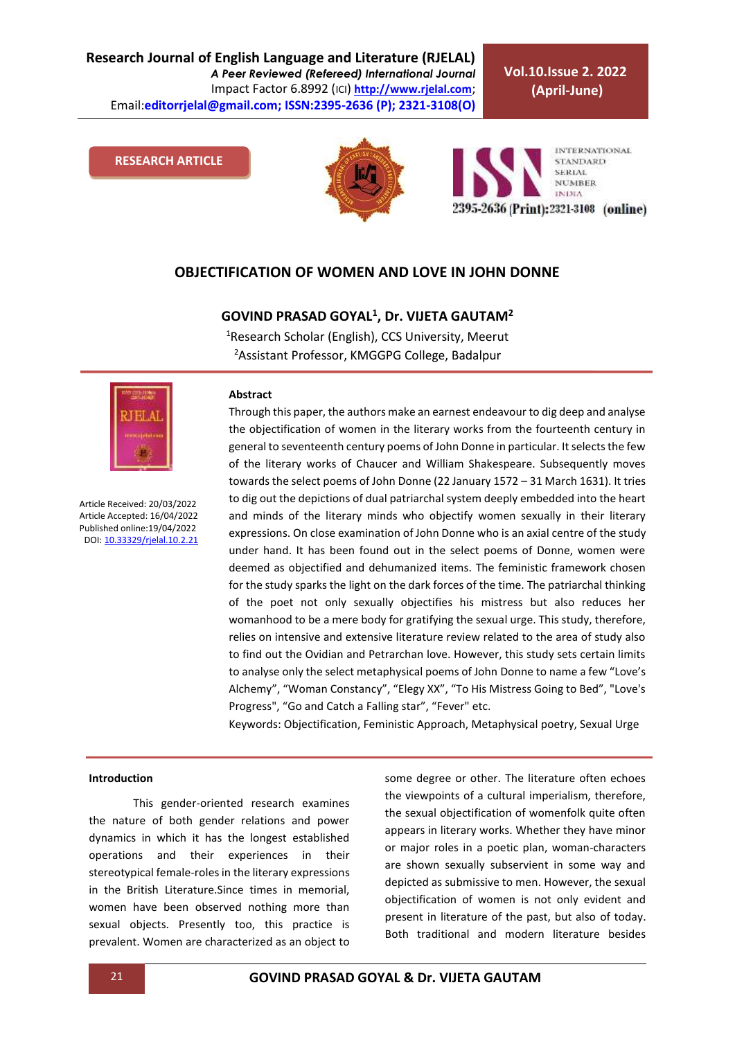**Research Journal of English Language and Literature (RJELAL)** *A Peer Reviewed (Refereed) International Journal* Impact Factor 6.8992 (ICI) **[http://www.rjelal.com](http://www.rjelal.com/)**; Email:**editorrjelal@gmail.com; ISSN:2395-2636 (P); 2321-3108(O)** 

**Vol.10.Issue 2. 2022 (April-June)**

#### **RESEARCH ARTICLE**



**INTERNATIONAL STANDARD SERIAL NUMBER INDIA** 2395-2636 (Print): 2321-3108 (online)

### **OBJECTIFICATION OF WOMEN AND LOVE IN JOHN DONNE**

## **GOVIND PRASAD GOYAL<sup>1</sup> , Dr. VIJETA GAUTAM<sup>2</sup>**

<sup>1</sup>Research Scholar (English), CCS University, Meerut <sup>2</sup> Assistant Professor, KMGGPG College, Badalpur



Article Received: 20/03/2022 Article Accepted: 16/04/2022 Published online:19/04/2022 DOI[: 10.33329/rjelal.10.2.2](http://www.rjelal.com/)1

#### **Abstract**

Through this paper, the authors make an earnest endeavour to dig deep and analyse the objectification of women in the literary works from the fourteenth century in general to seventeenth century poems of John Donne in particular. It selects the few of the literary works of Chaucer and William Shakespeare. Subsequently moves towards the select poems of John Donne (22 January 1572 – 31 March 1631). It tries to dig out the depictions of dual patriarchal system deeply embedded into the heart and minds of the literary minds who objectify women sexually in their literary expressions. On close examination of John Donne who is an axial centre of the study under hand. It has been found out in the select poems of Donne, women were deemed as objectified and dehumanized items. The feministic framework chosen for the study sparks the light on the dark forces of the time. The patriarchal thinking of the poet not only sexually objectifies his mistress but also reduces her womanhood to be a mere body for gratifying the sexual urge. This study, therefore, relies on intensive and extensive literature review related to the area of study also to find out the Ovidian and Petrarchan love. However, this study sets certain limits to analyse only the select metaphysical poems of John Donne to name a few "Love's Alchemy", "Woman Constancy", "Elegy XX", "To His Mistress Going to Bed", "Love's Progress", "Go and Catch a Falling star", "Fever" etc.

Keywords: Objectification, Feministic Approach, Metaphysical poetry, Sexual Urge

#### **Introduction**

This gender-oriented research examines the nature of both gender relations and power dynamics in which it has the longest established operations and their experiences in their stereotypical female-roles in the literary expressions in the British Literature.Since times in memorial, women have been observed nothing more than sexual objects. Presently too, this practice is prevalent. Women are characterized as an object to some degree or other. The literature often echoes the viewpoints of a cultural imperialism, therefore, the sexual objectification of womenfolk quite often appears in literary works. Whether they have minor or major roles in a poetic plan, woman-characters are shown sexually subservient in some way and depicted as submissive to men. However, the sexual objectification of women is not only evident and present in literature of the past, but also of today. Both traditional and modern literature besides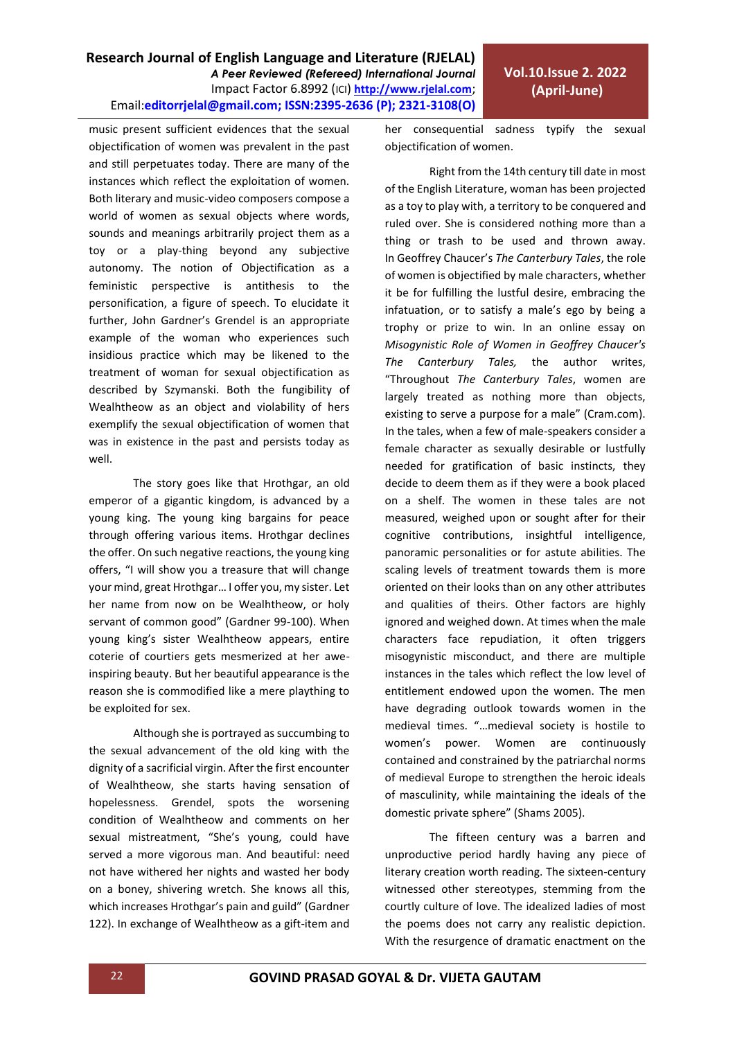## **Research Journal of English Language and Literature (RJELAL)** *A Peer Reviewed (Refereed) International Journal* Impact Factor 6.8992 (ICI) **[http://www.rjelal.com](http://www.rjelal.com/)**; Email:**editorrjelal@gmail.com; ISSN:2395-2636 (P); 2321-3108(O)**

music present sufficient evidences that the sexual objectification of women was prevalent in the past and still perpetuates today. There are many of the instances which reflect the exploitation of women. Both literary and music-video composers compose a world of women as sexual objects where words, sounds and meanings arbitrarily project them as a toy or a play-thing beyond any subjective autonomy. The notion of Objectification as a feministic perspective is antithesis to the personification, a figure of speech. To elucidate it further, John Gardner's Grendel is an appropriate example of the woman who experiences such insidious practice which may be likened to the treatment of woman for sexual objectification as described by Szymanski. Both the fungibility of Wealhtheow as an object and violability of hers exemplify the sexual objectification of women that was in existence in the past and persists today as well.

The story goes like that Hrothgar, an old emperor of a gigantic kingdom, is advanced by a young king. The young king bargains for peace through offering various items. Hrothgar declines the offer. On such negative reactions, the young king offers, "I will show you a treasure that will change your mind, great Hrothgar… I offer you, my sister. Let her name from now on be Wealhtheow, or holy servant of common good" (Gardner 99-100). When young king's sister Wealhtheow appears, entire coterie of courtiers gets mesmerized at her aweinspiring beauty. But her beautiful appearance is the reason she is commodified like a mere plaything to be exploited for sex.

Although she is portrayed as succumbing to the sexual advancement of the old king with the dignity of a sacrificial virgin. After the first encounter of Wealhtheow, she starts having sensation of hopelessness. Grendel, spots the worsening condition of Wealhtheow and comments on her sexual mistreatment, "She's young, could have served a more vigorous man. And beautiful: need not have withered her nights and wasted her body on a boney, shivering wretch. She knows all this, which increases Hrothgar's pain and guild" (Gardner 122). In exchange of Wealhtheow as a gift-item and her consequential sadness typify the sexual objectification of women.

Right from the 14th century till date in most of the English Literature, woman has been projected as a toy to play with, a territory to be conquered and ruled over. She is considered nothing more than a thing or trash to be used and thrown away. In [Geoffrey Chaucer](https://www.cram.com/subjects/geoffrey-chaucer)'s *[The Canterbury Tales](https://www.cram.com/subjects/the-canterbury-tales)*, the role of women is objectified by male characters, whether it be for fulfilling the lustful desire, embracing the infatuation, or to satisfy a male's ego by being a trophy or prize to win. In an online essay on *Misogynistic Role of Women in Geoffrey Chaucer's The Canterbury Tales,* the author writes, "Throughout *The Canterbury Tales*, women are largely treated as nothing more than objects, existing to serve a purpose for a male" (Cram.com). In the tales, when a few of male-speakers consider a female character as sexually desirable or lustfully needed for gratification of basic instincts, they decide to deem them as if they were a book placed on a shelf. The women in these tales are not measured, weighed upon or sought after for their cognitive contributions, insightful intelligence, panoramic personalities or for astute abilities. The scaling levels of treatment towards them is more oriented on their looks than on any other attributes and qualities of theirs. Other factors are highly ignored and weighed down. At times when the male characters face repudiation, it often triggers misogynistic misconduct, and there are multiple instances in the tales which reflect the low level of entitlement endowed upon the women. The men have degrading outlook towards women in the medieval times. "…medieval society is hostile to women's power. Women are continuously contained and constrained by the patriarchal norms of medieval Europe to strengthen the heroic ideals of masculinity, while maintaining the ideals of the domestic private sphere" (Shams 2005).

The fifteen century was a barren and unproductive period hardly having any piece of literary creation worth reading. The sixteen-century witnessed other stereotypes, stemming from the courtly culture of love. The idealized ladies of most the poems does not carry any realistic depiction. With the resurgence of dramatic enactment on the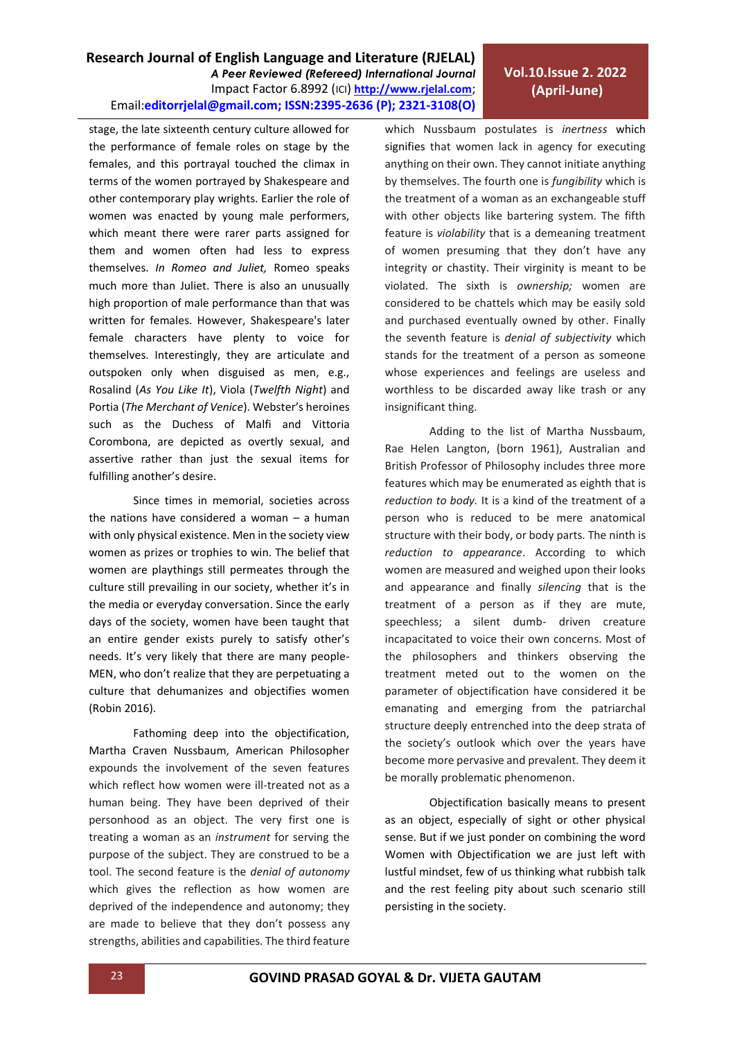# **Vol.10.Issue 2. 2022 (April-June)**

stage, the late sixteenth century culture allowed for the performance of female roles on stage by the females, and this portrayal touched the climax in terms of the women portrayed by Shakespeare and other contemporary play wrights. Earlier the role of women was enacted by young male performers, which meant there were rarer parts assigned for them and women often had less to express themselves. *In Romeo and Juliet,* Romeo speaks much more than Juliet. There is also an unusually high proportion of male performance than that was written for females. However, Shakespeare's later female characters have plenty to voice for themselves. Interestingly, they are articulate and outspoken only when disguised as men, e.g., Rosalind (*As You Like It*), Viola (*Twelfth Night*) and Portia (*The Merchant of Venice*). Webster's heroines such as the Duchess of Malfi and Vittoria Corombona, are depicted as overtly sexual, and assertive rather than just the sexual items for fulfilling another's desire.

Since times in memorial, societies across the nations have considered a woman – a human with only physical existence. Men in the society view women as prizes or trophies to win. The belief that women are playthings still permeates through the culture still prevailing in our society, whether it's in the media or everyday conversation. Since the early days of the society, women have been taught that an entire gender exists purely to satisfy other's needs. It's very likely that there are many people-MEN, who don't realize that they are perpetuating a culture that dehumanizes and objectifies women (Robin 2016).

Fathoming deep into the objectification, Martha Craven Nussbaum, American Philosopher expounds the involvement of the seven features which reflect how women were ill-treated not as a human being. They have been deprived of their personhood as an object. The very first one is treating a woman as an *instrument* for serving the purpose of the subject. They are construed to be a tool. The second feature is the *denial of autonomy* which gives the reflection as how women are deprived of the independence and autonomy; they are made to believe that they don't possess any strengths, abilities and capabilities. The third feature which Nussbaum postulates is *inertness* which signifies that women lack in agency for executing anything on their own. They cannot initiate anything by themselves. The fourth one is *fungibility* which is the treatment of a woman as an exchangeable stuff with other objects like bartering system. The fifth feature is *violability* that is a demeaning treatment of women presuming that they don't have any integrity or chastity. Their virginity is meant to be violated. The sixth is *ownership;* women are considered to be chattels which may be easily sold and purchased eventually owned by other. Finally the seventh feature is *denial of subjectivity* which stands for the treatment of a person as someone whose experiences and feelings are useless and worthless to be discarded away like trash or any insignificant thing.

Adding to the list of Martha Nussbaum, Rae Helen Langton, (born 1961), Australian and British Professor of Philosophy includes three more features which may be enumerated as eighth that is *reduction to body.* It is a kind of the treatment of a person who is reduced to be mere anatomical structure with their body, or body parts. The ninth is *reduction to appearance*. According to which women are measured and weighed upon their looks and appearance and finally *silencing* that is the treatment of a person as if they are mute, speechless; a silent dumb- driven creature incapacitated to voice their own concerns. Most of the philosophers and thinkers observing the treatment meted out to the women on the parameter of objectification have considered it be emanating and emerging from the patriarchal structure deeply entrenched into the deep strata of the society's outlook which over the years have become more pervasive and prevalent. They deem it be morally problematic phenomenon.

Objectification basically means to present as an object, especially of sight or other physical sense. But if we just ponder on combining the word Women with Objectification we are just left with lustful mindset, few of us thinking what rubbish talk and the rest feeling pity about such scenario still persisting in the society.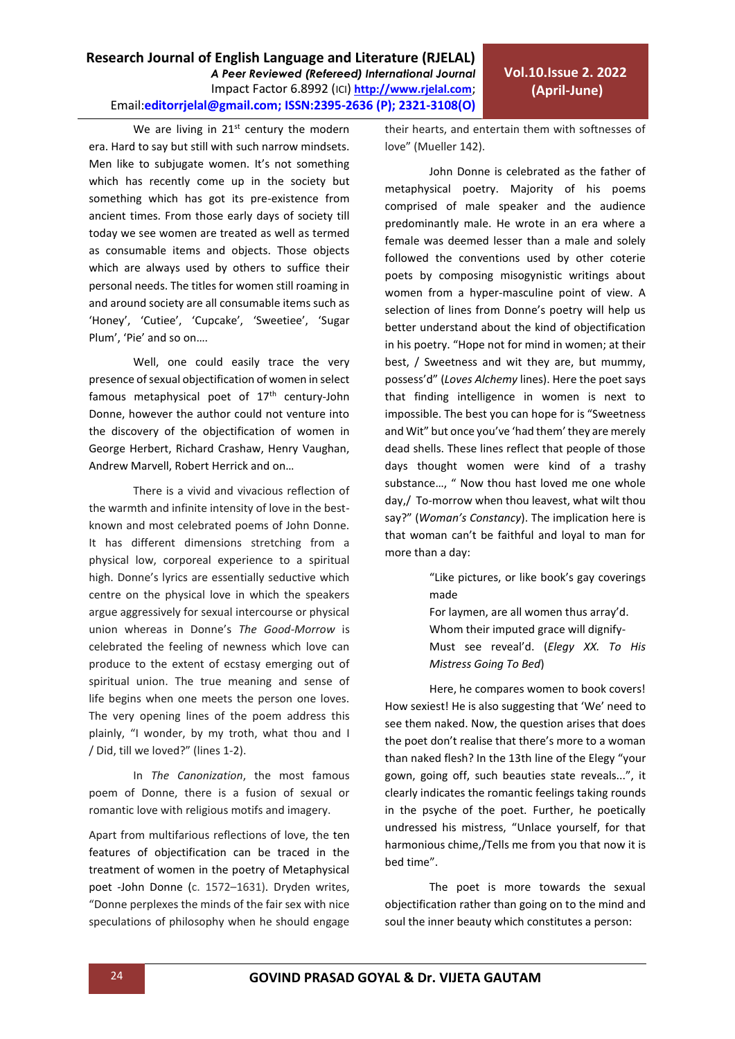We are living in  $21<sup>st</sup>$  century the modern era. Hard to say but still with such narrow mindsets. Men like to subjugate women. It's not something which has recently come up in the society but something which has got its pre-existence from ancient times. From those early days of society till today we see women are treated as well as termed as consumable items and objects. Those objects which are always used by others to suffice their personal needs. The titles for women still roaming in and around society are all consumable items such as 'Honey', 'Cutiee', 'Cupcake', 'Sweetiee', 'Sugar Plum', 'Pie' and so on….

Well, one could easily trace the very presence of sexual objectification of women in select famous metaphysical poet of  $17<sup>th</sup>$  century-John Donne, however the author could not venture into the discovery of the objectification of women in George Herbert, Richard Crashaw, Henry Vaughan, Andrew Marvell, Robert Herrick and on…

There is a vivid and vivacious reflection of the warmth and infinite intensity of love in the bestknown and most celebrated poems of John Donne. It has different dimensions stretching from a physical low, corporeal experience to a spiritual high. Donne's lyrics are essentially seductive which centre on the physical love in which the speakers argue aggressively for sexual intercourse or physical union whereas in Donne's *The Good-Morrow* is celebrated the feeling of newness which love can produce to the extent of ecstasy emerging out of spiritual union. The true meaning and sense of life begins when one meets the person one loves. The very opening lines of the poem address this plainly, "I wonder, by my troth, what thou and I / Did, till we loved?" (lines 1-2).

In *The Canonization*, the most famous poem of Donne, there is a fusion of sexual or romantic love with religious motifs and imagery.

Apart from multifarious reflections of love, the ten features of objectification can be traced in the treatment of women in the poetry of Metaphysical poet -John Donne (c. 1572–1631). Dryden writes, "Donne perplexes the minds of the fair sex with nice speculations of philosophy when he should engage their hearts, and entertain them with softnesses of love" (Mueller 142).

John Donne is celebrated as the father of metaphysical poetry. Majority of his poems comprised of male speaker and the audience predominantly male. He wrote in an era where a female was deemed lesser than a male and solely followed the conventions used by other coterie poets by composing misogynistic writings about women from a hyper-masculine point of view. A selection of lines from Donne's poetry will help us better understand about the kind of objectification in his poetry. "Hope not for mind in women; at their best, / Sweetness and wit they are, but mummy, possess'd" (*Loves Alchemy* lines). Here the poet says that finding intelligence in women is next to impossible. The best you can hope for is "Sweetness and Wit" but once you've 'had them' they are merely dead shells. These lines reflect that people of those days thought women were kind of a trashy substance…, " Now thou hast loved me one whole day,/ To-morrow when thou leavest, what wilt thou say?" (*Woman's Constancy*). The implication here is that woman can't be faithful and loyal to man for more than a day:

> "Like pictures, or like book's gay coverings made

> For laymen, are all women thus array'd. Whom their imputed grace will dignify-Must see reveal'd. (*Elegy XX. To His Mistress Going To Bed*)

Here, he compares women to book covers! How sexiest! He is also suggesting that 'We' need to see them naked. Now, the question arises that does the poet don't realise that there's more to a woman than naked flesh? In the 13th line of the Elegy "your gown, going off, such beauties state reveals...", it clearly indicates the romantic feelings taking rounds in the psyche of the poet. Further, he poetically undressed his mistress, "Unlace yourself, for that harmonious chime,/Tells me from you that now it is bed time".

The poet is more towards the sexual objectification rather than going on to the mind and soul the inner beauty which constitutes a person: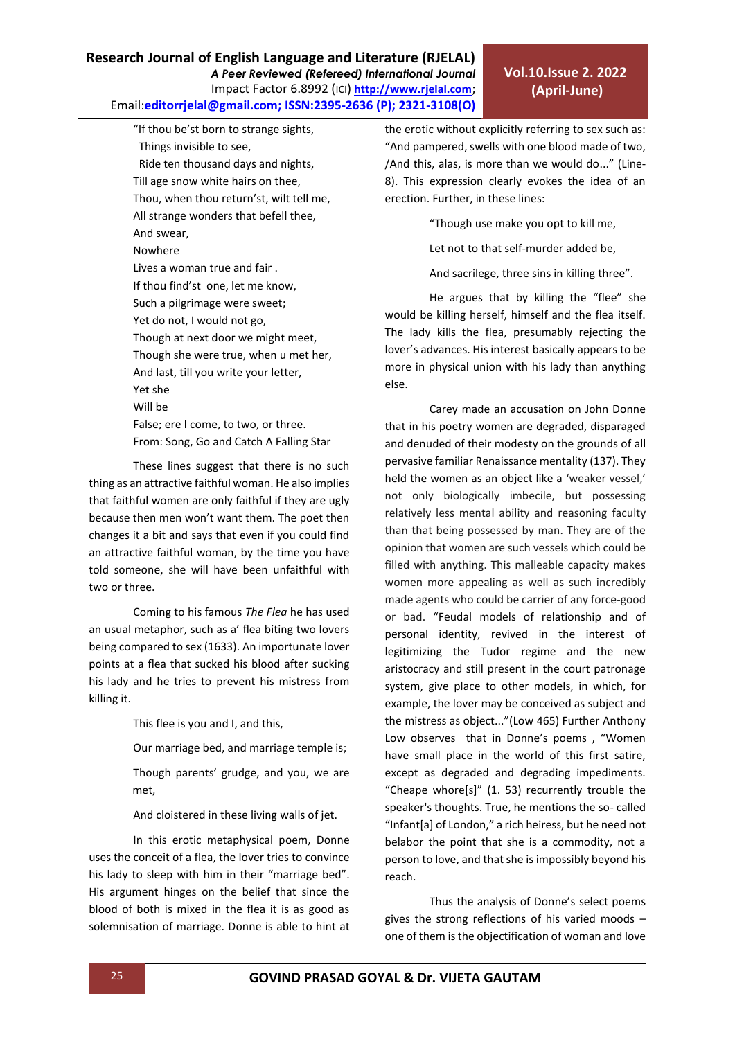"If thou be'st born to strange sights, Things invisible to see, Ride ten thousand days and nights, Till age snow white hairs on thee, Thou, when thou return'st, wilt tell me, All strange wonders that befell thee, And swear, Nowhere Lives a woman true and fair . If thou find'st one, let me know, Such a pilgrimage were sweet; Yet do not, I would not go, Though at next door we might meet, Though she were true, when u met her, And last, till you write your letter, Yet she Will be False; ere I come, to two, or three. From: Song, Go and Catch A Falling Star

These lines suggest that there is no such thing as an attractive faithful woman. He also implies that faithful women are only faithful if they are ugly because then men won't want them. The poet then changes it a bit and says that even if you could find an attractive faithful woman, by the time you have told someone, she will have been unfaithful with two or three.

Coming to his famous *The Flea* he has used an usual metaphor, such as a' flea biting two lovers being compared to sex (1633). An importunate lover points at a flea that sucked his blood after sucking his lady and he tries to prevent his mistress from killing it.

This flee is you and I, and this,

Our marriage bed, and marriage temple is;

Though parents' grudge, and you, we are met,

And cloistered in these living walls of jet.

In this erotic metaphysical poem, Donne uses the conceit of a flea, the lover tries to convince his lady to sleep with him in their "marriage bed". His argument hinges on the belief that since the blood of both is mixed in the flea it is as good as solemnisation of marriage. Donne is able to hint at the erotic without explicitly referring to sex such as: "And pampered, swells with one blood made of two, /And this, alas, is more than we would do..." (Line-8). This expression clearly evokes the idea of an erection. Further, in these lines:

"Though use make you opt to kill me,

Let not to that self-murder added be,

And sacrilege, three sins in killing three".

He argues that by killing the "flee" she would be killing herself, himself and the flea itself. The lady kills the flea, presumably rejecting the lover's advances. His interest basically appears to be more in physical union with his lady than anything else.

Carey made an accusation on John Donne that in his poetry women are degraded, disparaged and denuded of their modesty on the grounds of all pervasive familiar Renaissance mentality (137). They held the women as an object like a 'weaker vessel,' not only biologically imbecile, but possessing relatively less mental ability and reasoning faculty than that being possessed by man. They are of the opinion that women are such vessels which could be filled with anything. This malleable capacity makes women more appealing as well as such incredibly made agents who could be carrier of any force-good or bad. "Feudal models of relationship and of personal identity, revived in the interest of legitimizing the Tudor regime and the new aristocracy and still present in the court patronage system, give place to other models, in which, for example, the lover may be conceived as subject and the mistress as object..."(Low 465) Further Anthony Low observes that in Donne's poems , "Women have small place in the world of this first satire, except as degraded and degrading impediments. "Cheape whore[s]" (1. 53) recurrently trouble the speaker's thoughts. True, he mentions the so- called "Infant[a] of London," a rich heiress, but he need not belabor the point that she is a commodity, not a person to love, and that she is impossibly beyond his reach.

Thus the analysis of Donne's select poems gives the strong reflections of his varied moods – one of them is the objectification of woman and love